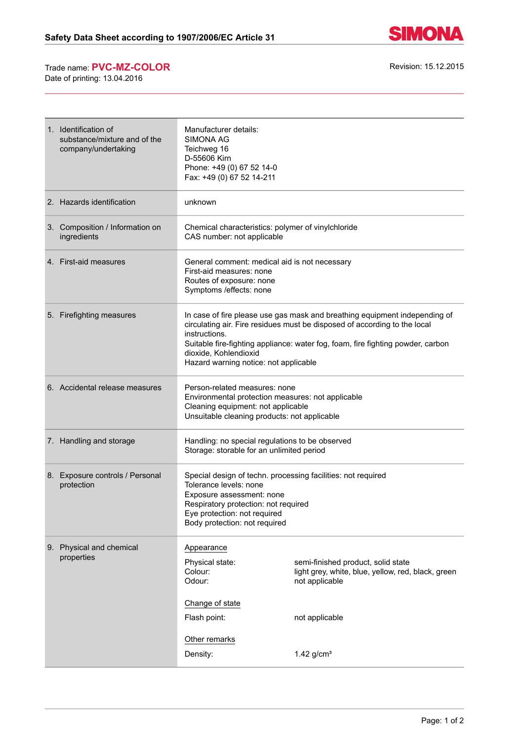

## Trade name: **PVC-MZ-COLOR** Revision: 15.12.2015

Date of printing: 13.04.2016

| 1. Identification of<br>substance/mixture and of the<br>company/undertaking | Manufacturer details:<br><b>SIMONA AG</b><br>Teichweg 16<br>D-55606 Kirn<br>Phone: +49 (0) 67 52 14-0<br>Fax: +49 (0) 67 52 14-211                                                                                                                                                                                            |                                                                                                                              |
|-----------------------------------------------------------------------------|-------------------------------------------------------------------------------------------------------------------------------------------------------------------------------------------------------------------------------------------------------------------------------------------------------------------------------|------------------------------------------------------------------------------------------------------------------------------|
| 2. Hazards identification                                                   | unknown                                                                                                                                                                                                                                                                                                                       |                                                                                                                              |
| 3. Composition / Information on<br>ingredients                              | Chemical characteristics: polymer of vinylchloride<br>CAS number: not applicable                                                                                                                                                                                                                                              |                                                                                                                              |
| 4. First-aid measures                                                       | General comment: medical aid is not necessary<br>First-aid measures: none<br>Routes of exposure: none<br>Symptoms / effects: none                                                                                                                                                                                             |                                                                                                                              |
| 5. Firefighting measures                                                    | In case of fire please use gas mask and breathing equipment independing of<br>circulating air. Fire residues must be disposed of according to the local<br>instructions.<br>Suitable fire-fighting appliance: water fog, foam, fire fighting powder, carbon<br>dioxide, Kohlendioxid<br>Hazard warning notice: not applicable |                                                                                                                              |
| 6. Accidental release measures                                              | Person-related measures: none<br>Environmental protection measures: not applicable<br>Cleaning equipment: not applicable<br>Unsuitable cleaning products: not applicable                                                                                                                                                      |                                                                                                                              |
| 7. Handling and storage                                                     | Handling: no special regulations to be observed<br>Storage: storable for an unlimited period                                                                                                                                                                                                                                  |                                                                                                                              |
| 8. Exposure controls / Personal<br>protection                               | Special design of techn. processing facilities: not required<br>Tolerance levels: none<br>Exposure assessment: none<br>Respiratory protection: not required<br>Eye protection: not required<br>Body protection: not required                                                                                                  |                                                                                                                              |
| 9. Physical and chemical<br>properties                                      | Appearance<br>Physical state:<br>Colour:<br>Odour:<br>Change of state<br>Flash point:                                                                                                                                                                                                                                         | semi-finished product, solid state<br>light grey, white, blue, yellow, red, black, green<br>not applicable<br>not applicable |
|                                                                             | Other remarks<br>Density:                                                                                                                                                                                                                                                                                                     | $1.42$ g/cm <sup>3</sup>                                                                                                     |